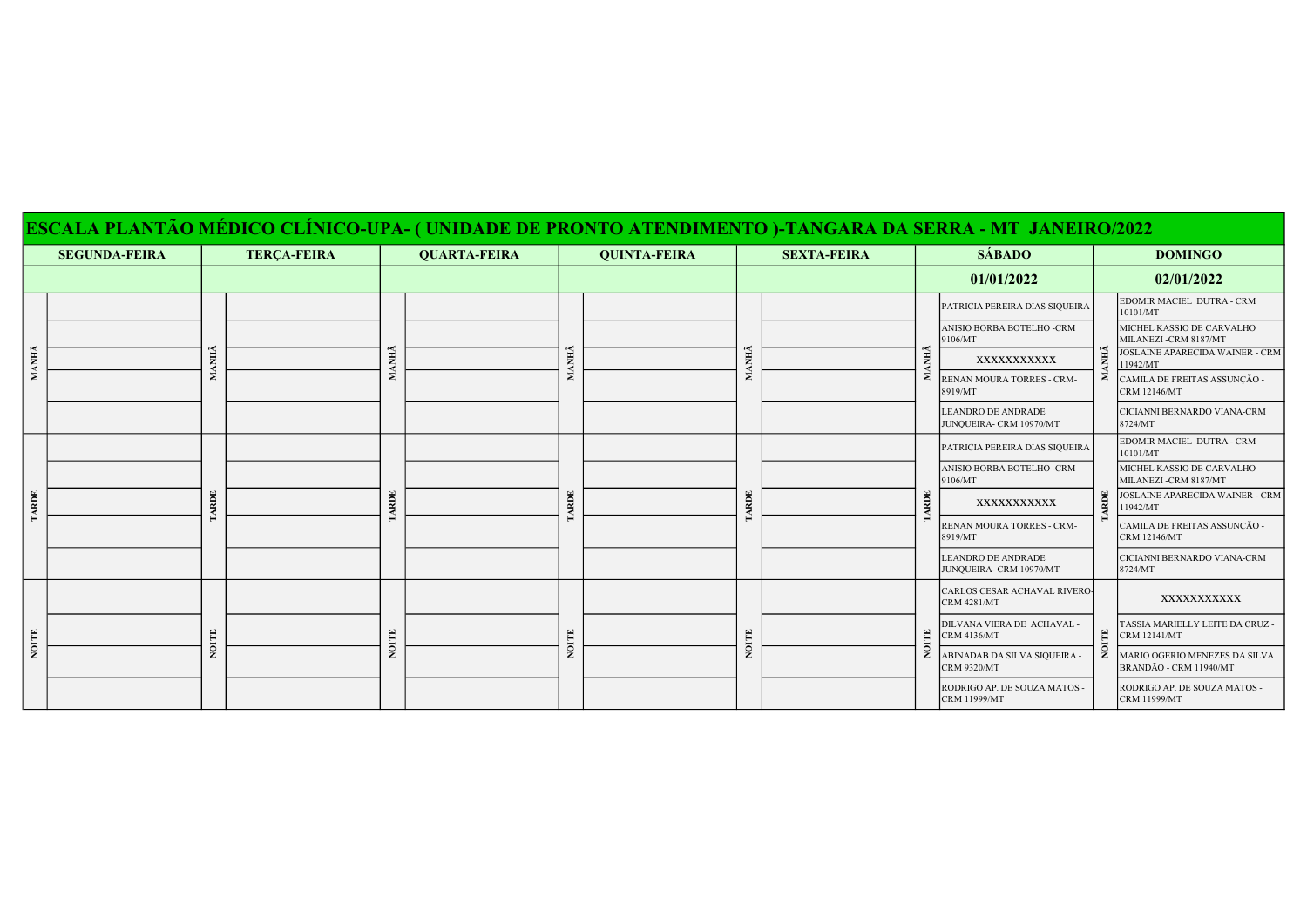|       |                      |            |                    |       |                     |             |                     |                 |                    |                                                    | ESCALA PLANTÃO MÉDICO CLÍNICO-UPA- ( UNIDADE DE PRONTO ATENDIMENTO )-TANGARA DA SERRA - MT-JANEIRO/2022 |                                                         |                                                        |
|-------|----------------------|------------|--------------------|-------|---------------------|-------------|---------------------|-----------------|--------------------|----------------------------------------------------|---------------------------------------------------------------------------------------------------------|---------------------------------------------------------|--------------------------------------------------------|
|       | <b>SEGUNDA-FEIRA</b> |            | <b>TERÇA-FEIRA</b> |       | <b>QUARTA-FEIRA</b> |             | <b>QUINTA-FEIRA</b> |                 | <b>SEXTA-FEIRA</b> |                                                    | <b>SÁBADO</b>                                                                                           | <b>DOMINGO</b>                                          |                                                        |
|       |                      |            |                    |       |                     |             |                     |                 |                    |                                                    | 01/01/2022                                                                                              |                                                         | 02/01/2022                                             |
|       |                      |            |                    |       |                     |             |                     |                 |                    |                                                    | PATRICIA PEREIRA DIAS SIQUEIRA                                                                          |                                                         | EDOMIR MACIEL DUTRA - CRM<br>10101/MT                  |
|       |                      |            |                    |       |                     | MANHÃ       |                     |                 |                    |                                                    | ANISIO BORBA BOTELHO -CRM<br>9106/MT                                                                    |                                                         | MICHEL KASSIO DE CARVALHO<br>MILANEZI-CRM 8187/MT      |
| MANHÃ |                      | <b>ANH</b> |                    | MANHÃ |                     |             |                     | <b>ANH</b><br>z |                    | NHÃ<br>Σ                                           | XXXXXXXXXXX                                                                                             | ANHÃ                                                    | <b>IOSLAINE APARECIDA WAINER - CRM</b><br>1942/MT      |
|       |                      |            |                    |       |                     |             |                     |                 |                    |                                                    | RENAN MOURA TORRES - CRM-<br>8919/MT                                                                    |                                                         | CAMILA DE FREITAS ASSUNÇÃO -<br><b>CRM 12146/MT</b>    |
|       |                      |            |                    |       |                     |             |                     |                 |                    |                                                    | <b>LEANDRO DE ANDRADE</b><br>JUNQUEIRA- CRM 10970/MT                                                    |                                                         | CICIANNI BERNARDO VIANA-CRM<br>8724/MT                 |
|       |                      |            |                    |       | ARDE                |             |                     |                 |                    | PATRICIA PEREIRA DIAS SIQUEIRA                     |                                                                                                         | EDOMIR MACIEL DUTRA - CRM<br>10101/MT                   |                                                        |
|       |                      |            |                    | ARDE  |                     | <b>ARDE</b> |                     |                 |                    | ANISIO BORBA BOTELHO -CRM<br>9106/MT               |                                                                                                         | MICHEL KASSIO DE CARVALHO<br>MILANEZI-CRM 8187/MT       |                                                        |
| TARDE |                      | ARDE       |                    |       |                     |             |                     |                 | ARDE               | XXXXXXXXXXX                                        | ARDE                                                                                                    | <b>IOSLAINE APARECIDA WAINER - CRM</b><br>1942/MT       |                                                        |
|       |                      |            |                    |       |                     |             |                     |                 |                    |                                                    | RENAN MOURA TORRES - CRM-<br>8919/MT                                                                    |                                                         | CAMILA DE FREITAS ASSUNÇÃO -<br><b>CRM 12146/MT</b>    |
|       |                      |            |                    |       |                     |             |                     |                 |                    |                                                    | <b>LEANDRO DE ANDRADE</b><br>JUNQUEIRA- CRM 10970/MT                                                    |                                                         | CICIANNI BERNARDO VIANA-CRM<br>8724/MT                 |
|       |                      |            |                    |       |                     |             |                     |                 |                    |                                                    | CARLOS CESAR ACHAVAL RIVERO<br><b>CRM 4281/MT</b>                                                       |                                                         | XXXXXXXXXXX                                            |
|       |                      |            |                    |       |                     |             |                     |                 |                    | Ë                                                  | DILVANA VIERA DE ACHAVAL -<br><b>CRM 4136/MT</b>                                                        | $\mathbb{H}$                                            | <b>TASSIA MARIELLY LEITE DA CRUZ -</b><br>CRM 12141/MT |
| NOITE |                      |            |                    | NOITE |                     | NOITE       |                     |                 | $\epsilon$         | ABINADAB DA SILVA SIQUEIRA -<br><b>CRM 9320/MT</b> |                                                                                                         | MARIO OGERIO MENEZES DA SILVA<br>BRANDÃO - CRM 11940/MT |                                                        |
|       |                      |            |                    |       |                     |             |                     |                 |                    |                                                    | RODRIGO AP. DE SOUZA MATOS -<br><b>CRM 11999/MT</b>                                                     |                                                         | RODRIGO AP. DE SOUZA MATOS -<br>CRM 11999/MT           |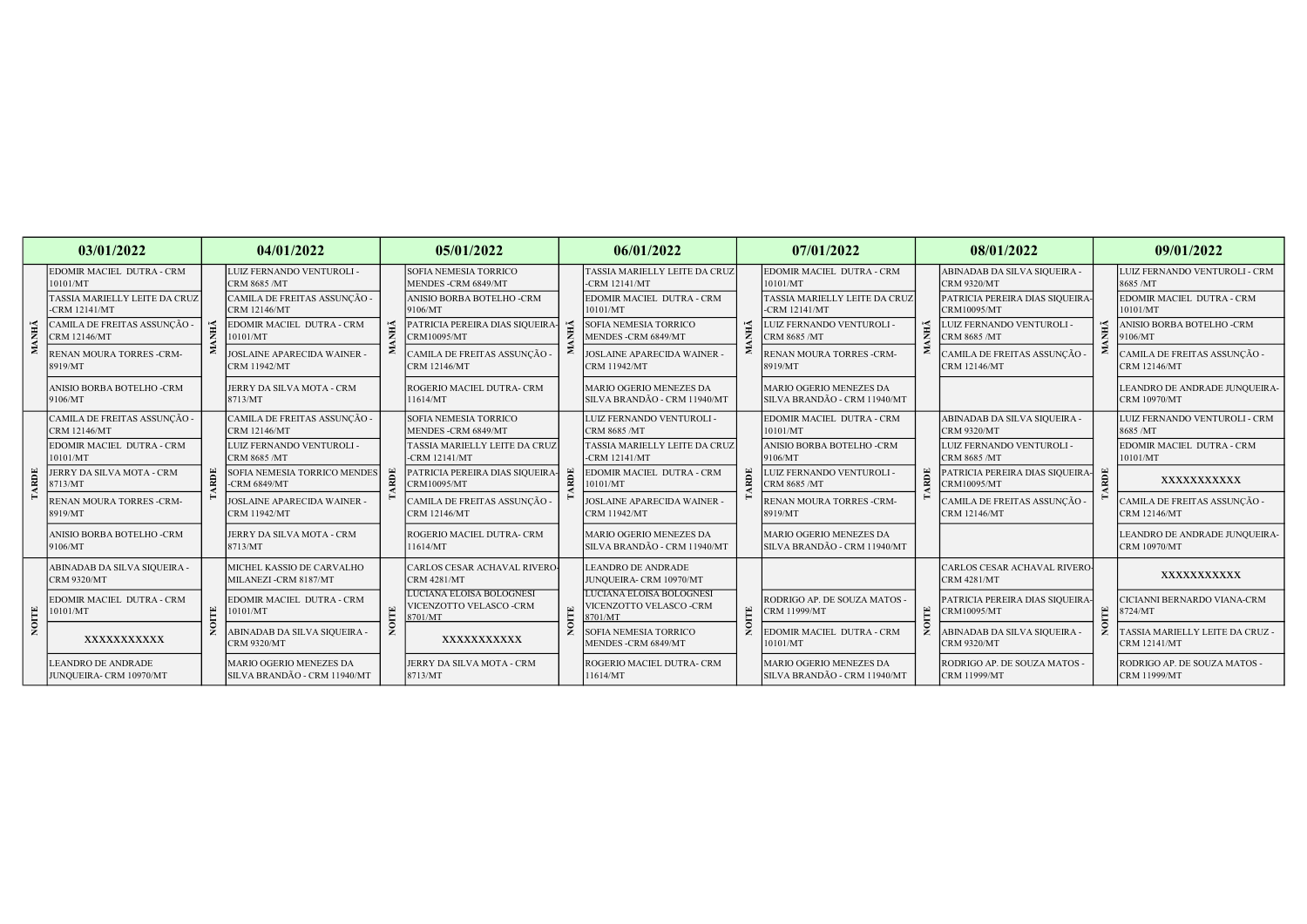|             | 03/01/2022                                           |  | 04/01/2022                                              |   | 05/01/2022                                                     |       | 06/01/2022                                                    |              | 07/01/2022                                                     |     | 08/01/2022                                          |     | 09/01/2022                                            |  |
|-------------|------------------------------------------------------|--|---------------------------------------------------------|---|----------------------------------------------------------------|-------|---------------------------------------------------------------|--------------|----------------------------------------------------------------|-----|-----------------------------------------------------|-----|-------------------------------------------------------|--|
|             | EDOMIR MACIEL DUTRA - CRM<br>10101/MT                |  | LUIZ FERNANDO VENTUROLI -<br>CRM 8685 /MT               |   | SOFIA NEMESIA TORRICO<br>MENDES-CRM 6849/MT                    |       | TASSIA MARIELLY LEITE DA CRUZ<br>$-CRM 12141/MT$              |              | EDOMIR MACIEL DUTRA - CRM<br>10101/MT                          |     | ABINADAB DA SILVA SIQUEIRA -<br><b>CRM 9320/MT</b>  |     | LUIZ FERNANDO VENTUROLI - CRM<br>8685 /MT             |  |
|             | TASSIA MARIELLY LEITE DA CRUZ<br>$-CRM$ 12141/ $MT$  |  | CAMILA DE FREITAS ASSUNÇÃO -<br><b>CRM 12146/MT</b>     |   | <b>ANISIO BORBA BOTELHO -CRM</b><br>9106/MT                    |       | EDOMIR MACIEL DUTRA - CRM<br>10101/MT                         |              | TASSIA MARIELLY LEITE DA CRUZ<br>$-CRM$ 12141/MT               |     | PATRICIA PEREIRA DIAS SIQUEIRA<br>CRM10095/MT       |     | EDOMIR MACIEL DUTRA - CRM<br>10101/MT                 |  |
| <b>ANHA</b> | CAMILA DE FREITAS ASSUNCÃO -<br><b>CRM 12146/MT</b>  |  | EDOMIR MACIEL DUTRA - CRM<br>10101/MT                   |   | PATRICIA PEREIRA DIAS SIQUEIRA<br>CRM10095/MT                  | М     | <b>SOFIA NEMESIA TORRICO</b><br>MENDES -CRM 6849/MT           | ŇЫ           | LUIZ FERNANDO VENTUROLI -<br><b>CRM 8685 /MT</b>               | ۱Ś. | LUIZ FERNANDO VENTUROLI -<br>CRM 8685 /MT           |     | ANISIO BORBA BOTELHO -CRM<br>9106/MT                  |  |
| ≍           | RENAN MOURA TORRES -CRM-<br>8919/MT                  |  | JOSLAINE APARECIDA WAINER<br><b>CRM 11942/MT</b>        |   | CAMILA DE FREITAS ASSUNCÃO -<br><b>CRM 12146/MT</b>            |       | JOSLAINE APARECIDA WAINER<br><b>CRM 11942/MT</b>              |              | RENAN MOURA TORRES -CRM-<br>8919/MT                            |     | CAMILA DE FREITAS ASSUNÇÃO -<br><b>CRM 12146/MT</b> |     | CAMILA DE FREITAS ASSUNCÃO -<br><b>CRM 12146/MT</b>   |  |
|             | ANISIO BORBA BOTELHO -CRM<br>9106/MT                 |  | JERRY DA SILVA MOTA - CRM<br>8713/MT                    |   | ROGERIO MACIEL DUTRA- CRM<br>11614/MT                          |       | MARIO OGERIO MENEZES DA<br>SILVA BRANDÃO - CRM 11940/MT       |              | <b>MARIO OGERIO MENEZES DA</b><br>SILVA BRANDÃO - CRM 11940/MT |     |                                                     |     | EANDRO DE ANDRADE JUNQUEIRA-<br><b>CRM 10970/MT</b>   |  |
|             | CAMILA DE FREITAS ASSUNÇÃO -<br><b>CRM 12146/MT</b>  |  | CAMILA DE FREITAS ASSUNÇÃO -<br><b>CRM 12146/MT</b>     |   | SOFIA NEMESIA TORRICO<br>MENDES-CRM 6849/MT                    |       | LUIZ FERNANDO VENTUROLI -<br><b>CRM 8685 /MT</b>              |              | EDOMIR MACIEL DUTRA - CRM<br>10101/MT                          |     | ABINADAB DA SILVA SIQUEIRA -<br><b>CRM 9320/MT</b>  |     | LUIZ FERNANDO VENTUROLI - CRM<br>8685 /MT             |  |
|             | EDOMIR MACIEL DUTRA - CRM<br>10101/MT                |  | LUIZ FERNANDO VENTUROLI -<br><b>CRM 8685 /MT</b>        |   | TASSIA MARIELLY LEITE DA CRUZ<br>$-CRM$ 12141/MT               |       | <b>TASSIA MARIELLY LEITE DA CRUZ</b><br>$-CRM 12141/MT$       |              | ANISIO BORBA BOTELHO -CRM<br>9106/MT                           | RDE | LUIZ FERNANDO VENTUROLI -<br><b>CRM 8685 /MT</b>    |     | EDOMIR MACIEL DUTRA - CRM<br>10101/MT                 |  |
| RDE         | <b>JERRY DA SILVA MOTA - CRM</b><br>8713/MT          |  | SOFIA NEMESIA TORRICO MENDES<br><b>CRM 6849/MT</b>      | ⋑ | PATRICIA PEREIRA DIAS SIQUEIRA<br>CRM10095/MT                  | RDE   | EDOMIR MACIEL DUTRA - CRM<br>10101/MT                         | RDE          | LUIZ FERNANDO VENTUROLI -<br>CRM 8685 /MT                      |     | PATRICIA PEREIRA DIAS SIQUEIRA-<br>CRM10095/MT      | RDE | XXXXXXXXXXX                                           |  |
|             | RENAN MOURA TORRES -CRM-<br>8919/MT                  |  | <b>JOSLAINE APARECIDA WAINER</b><br><b>CRM 11942/MT</b> |   | CAMILA DE FREITAS ASSUNCÃO -<br><b>CRM 12146/MT</b>            |       | <b>JOSLAINE APARECIDA WAINER</b><br><b>CRM 11942/MT</b>       |              | RENAN MOURA TORRES -CRM-<br>8919/MT                            |     | CAMILA DE FREITAS ASSUNÇÃO -<br><b>CRM 12146/MT</b> |     | CAMILA DE FREITAS ASSUNCÃO -<br><b>CRM 12146/MT</b>   |  |
|             | ANISIO BORBA BOTELHO -CRM<br>9106/MT                 |  | JERRY DA SILVA MOTA - CRM<br>8713/MT                    |   | ROGERIO MACIEL DUTRA- CRM<br>11614/MT                          |       | MARIO OGERIO MENEZES DA<br>SILVA BRANDÃO - CRM 11940/MT       |              | <b>MARIO OGERIO MENEZES DA</b><br>SILVA BRANDÃO - CRM 11940/MT |     |                                                     |     | LEANDRO DE ANDRADE JUNQUEIRA-<br><b>CRM 10970/MT</b>  |  |
|             | ABINADAB DA SILVA SIQUEIRA -<br><b>CRM 9320/MT</b>   |  | MICHEL KASSIO DE CARVALHO<br>MILANEZI -CRM 8187/MT      |   | CARLOS CESAR ACHAVAL RIVERC<br><b>CRM 4281/MT</b>              |       | <b>LEANDRO DE ANDRADE</b><br>JUNQUEIRA- CRM 10970/MT          |              |                                                                | 믑   | CARLOS CESAR ACHAVAL RIVERO<br><b>CRM 4281/MT</b>   |     | XXXXXXXXXXX                                           |  |
|             | EDOMIR MACIEL DUTRA - CRM<br>10101/MT                |  | EDOMIR MACIEL DUTRA - CRM<br>10101/MT                   |   | LUCIANA ELOISA BOLOGNESI<br>VICENZOTTO VELASCO -CRM<br>8701/MT | NOITE | LUCIANA ELOISA BOLOGNESI<br>VICENZOTTO VELASCO-CRM<br>8701/MT | $\mathbb{E}$ | RODRIGO AP. DE SOUZA MATOS -<br><b>CRM 11999/MT</b>            |     | PATRICIA PEREIRA DIAS SIQUEIRA<br>CRM10095/MT       | 몬   | CICIANNI BERNARDO VIANA-CRM<br>8724/MT                |  |
| NOITE       | XXXXXXXXXXX                                          |  | ABINADAB DA SILVA SIQUEIRA -<br><b>CRM 9320/MT</b>      |   | XXXXXXXXXXX                                                    |       | <b>SOFIA NEMESIA TORRICO</b><br>MENDES -CRM 6849/MT           |              | EDOMIR MACIEL DUTRA - CRM<br>10101/MT                          |     | ABINADAB DA SILVA SIQUEIRA -<br><b>CRM 9320/MT</b>  |     | ASSIA MARIELLY LEITE DA CRUZ -<br><b>CRM 12141/MT</b> |  |
|             | <b>LEANDRO DE ANDRADE</b><br>JUNQUEIRA- CRM 10970/MT |  | MARIO OGERIO MENEZES DA<br>SILVA BRANDÃO - CRM 11940/MT |   | JERRY DA SILVA MOTA - CRM<br>8713/MT                           |       | ROGERIO MACIEL DUTRA- CRM<br>11614/MT                         |              | <b>MARIO OGERIO MENEZES DA</b><br>SILVA BRANDÃO - CRM 11940/MT |     | RODRIGO AP. DE SOUZA MATOS -<br><b>CRM 11999/MT</b> |     | RODRIGO AP. DE SOUZA MATOS -<br><b>CRM 11999/MT</b>   |  |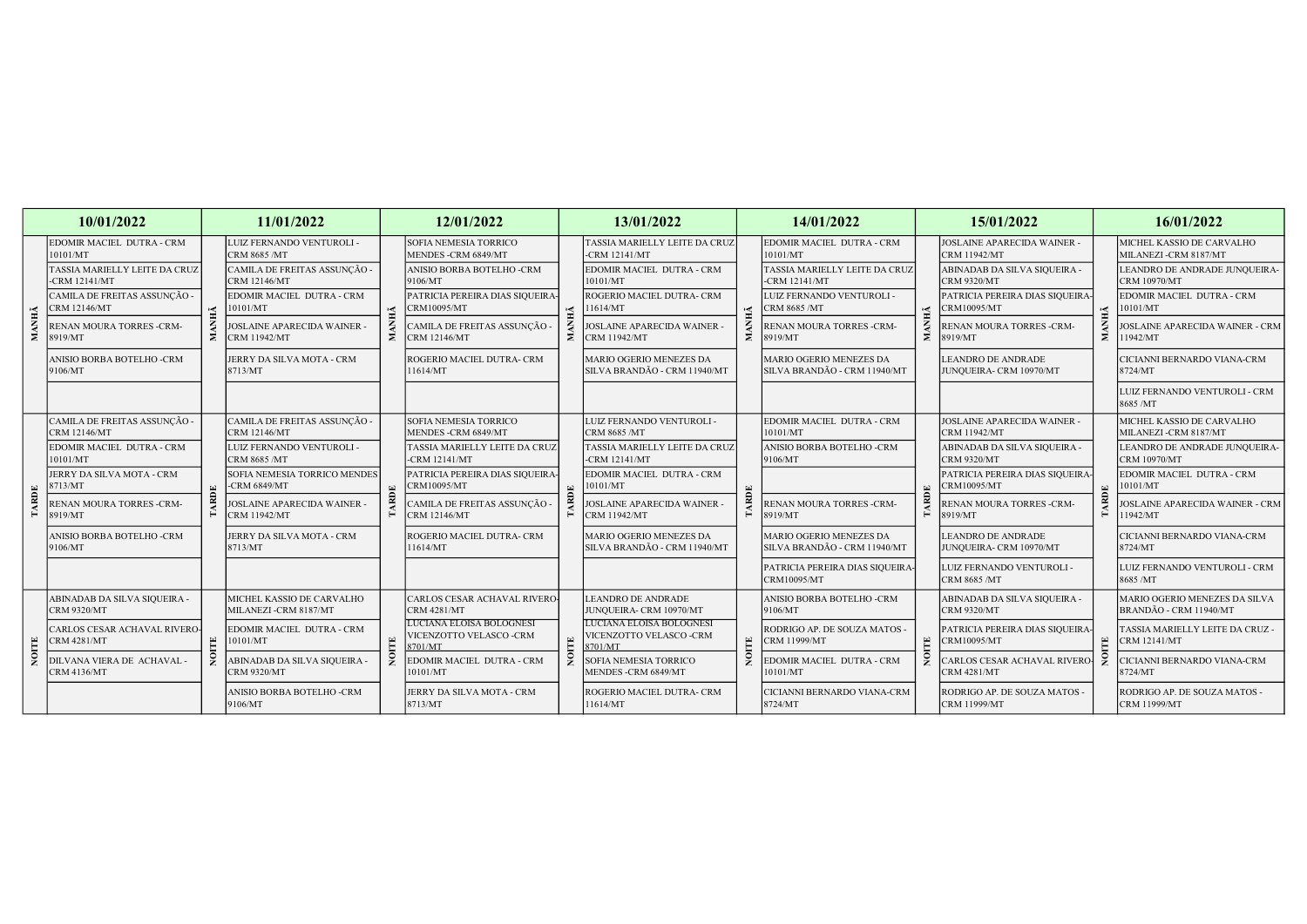|             | 10/01/2022                                          |   | 11/01/2022                                               |                                | 12/01/2022                                                            |                      | 13/01/2022                                                    |             | 14/01/2022                                              |                                              | 15/01/2022                                              |                | 16/01/2022                                              |
|-------------|-----------------------------------------------------|---|----------------------------------------------------------|--------------------------------|-----------------------------------------------------------------------|----------------------|---------------------------------------------------------------|-------------|---------------------------------------------------------|----------------------------------------------|---------------------------------------------------------|----------------|---------------------------------------------------------|
|             | EDOMIR MACIEL DUTRA - CRM<br>10101/MT               |   | LUIZ FERNANDO VENTUROLI -<br><b>CRM 8685 /MT</b>         |                                | <b>SOFIA NEMESIA TORRICO</b><br>MENDES - CRM 6849/MT                  |                      | TASSIA MARIELLY LEITE DA CRUZ<br>$-CRM$ 12141/MT              |             | EDOMIR MACIEL DUTRA - CRM<br>10101/MT                   |                                              | JOSLAINE APARECIDA WAINER -<br><b>CRM 11942/MT</b>      |                | MICHEL KASSIO DE CARVALHO<br>MILANEZI -CRM 8187/MT      |
|             | TASSIA MARIELLY LEITE DA CRUZ<br>-CRM 12141/MT      |   | CAMILA DE FREITAS ASSUNÇÃO -<br><b>CRM 12146/MT</b>      |                                | ANISIO BORBA BOTELHO -CRM<br>9106/MT                                  | $\tilde{\mathbf{H}}$ | EDOMIR MACIEL DUTRA - CRM<br>10101/MT                         |             | TASSIA MARIELLY LEITE DA CRUZ<br>-CRM 12141/MT          |                                              | ABINADAB DA SILVA SIQUEIRA -<br><b>CRM 9320/MT</b>      |                | LEANDRO DE ANDRADE JUNQUEIRA-<br><b>CRM 10970/MT</b>    |
|             | CAMILA DE FREITAS ASSUNÇÃO -<br>CRM 12146/MT        |   | EDOMIR MACIEL DUTRA - CRM<br>0101/MT                     | Ě                              | PATRICIA PEREIRA DIAS SIQUEIRA<br>CRM10095/MT                         |                      | ROGERIO MACIEL DUTRA- CRM<br>11614/MT                         | Ě           | LUIZ FERNANDO VENTUROLI -<br>CRM 8685 /MT               | É                                            | PATRICIA PEREIRA DIAS SIQUEIRA<br>CRM10095/MT           | $\overline{a}$ | EDOMIR MACIEL DUTRA - CRM<br>10101/MT                   |
| ANHÃ<br>Σ   | RENAN MOURA TORRES -CRM-<br>8919/MT                 |   | OSLAINE APARECIDA WAINER -<br><b>CRM 11942/MT</b>        | Σ.                             | CAMILA DE FREITAS ASSUNÇÃO -<br><b>CRM 12146/MT</b>                   | ≅                    | <b>JOSLAINE APARECIDA WAINER</b><br><b>CRM 11942/MT</b>       |             | RENAN MOURA TORRES -CRM-<br>8919/MT                     |                                              | RENAN MOURA TORRES -CRM-<br>8919/MT                     | - 2            | OSLAINE APARECIDA WAINER - CRM<br>1942/MT               |
|             | ANISIO BORBA BOTELHO -CRM<br>9106/MT                |   | <b>JERRY DA SILVA MOTA - CRM</b><br>8713/MT              |                                | ROGERIO MACIEL DUTRA- CRM<br>11614/MT                                 |                      | MARIO OGERIO MENEZES DA<br>SILVA BRANDÃO - CRM 11940/MT       |             | MARIO OGERIO MENEZES DA<br>SILVA BRANDÃO - CRM 11940/MT |                                              | <b>LEANDRO DE ANDRADE</b><br>JUNQUEIRA- CRM 10970/MT    |                | CICIANNI BERNARDO VIANA-CRM<br>8724/MT                  |
|             |                                                     |   |                                                          |                                |                                                                       |                      |                                                               |             |                                                         |                                              |                                                         |                | LUIZ FERNANDO VENTUROLI - CRM<br>8685/MT                |
|             | CAMILA DE FREITAS ASSUNÇÃO -<br><b>CRM 12146/MT</b> |   | CAMILA DE FREITAS ASSUNÇÃO -<br><b>CRM 12146/MT</b>      |                                | <b>SOFIA NEMESIA TORRICO</b><br>MENDES - CRM 6849/MT                  |                      | LUIZ FERNANDO VENTUROLI -<br><b>CRM 8685 /MT</b>              |             | EDOMIR MACIEL DUTRA - CRM<br>10101/MT                   | $\left\vert \underline{x}\right\rangle$<br>ğ | <b>JOSLAINE APARECIDA WAINER</b><br><b>CRM 11942/MT</b> |                | MICHEL KASSIO DE CARVALHO<br>MILANEZI -CRM 8187/MT      |
|             | EDOMIR MACIEL DUTRA - CRM<br>10101/MT               |   | LUIZ FERNANDO VENTUROLI -<br><b>CRM 8685 /MT</b>         |                                | TASSIA MARIELLY LEITE DA CRUZ<br>$-CRM$ 12141/ $MT$                   |                      | TASSIA MARIELLY LEITE DA CRUZ<br>$-CRM$ 12141/MT              |             | ANISIO BORBA BOTELHO -CRM<br>9106/MT                    |                                              | ABINADAB DA SILVA SIQUEIRA -<br><b>CRM 9320/MT</b>      |                | LEANDRO DE ANDRADE JUNQUEIRA-<br><b>CRM 10970/MT</b>    |
|             | <b>JERRY DA SILVA MOTA - CRM</b><br>8713/MT         |   | SOFIA NEMESIA TORRICO MENDES<br>-CRM 6849/MT             |                                | PATRICIA PEREIRA DIAS SIQUEIRA<br>CRM10095/MT                         |                      | EDOMIR MACIEL DUTRA - CRM<br>10101/MT                         |             |                                                         |                                              | PATRICIA PEREIRA DIAS SIQUEIRA<br>CRM10095/MT           |                | EDOMIR MACIEL DUTRA - CRM<br>10101/MT                   |
| <b>ARDE</b> | RENAN MOURA TORRES -CRM-<br>8919/MT                 |   | <b>OSLAINE APARECIDA WAINER -</b><br><b>CRM 11942/MT</b> | $\bf A\bf RDE$<br>$\mathbf{H}$ | CAMILA DE FREITAS ASSUNÇÃO -<br><b>CRM 12146/MT</b>                   | ARDE                 | <b>JOSLAINE APARECIDA WAINER</b><br>CRM 11942/MT              | <b>ARDE</b> | RENAN MOURA TORRES -CRM-<br>8919/MT                     |                                              | RENAN MOURA TORRES -CRM-<br>8919/MT                     |                | <b>IOSLAINE APARECIDA WAINER - CRM</b><br>11942/MT      |
|             | ANISIO BORBA BOTELHO -CRM<br>9106/MT                |   | JERRY DA SILVA MOTA - CRM<br>8713/MT                     |                                | ROGERIO MACIEL DUTRA- CRM<br>11614/MT                                 |                      | MARIO OGERIO MENEZES DA<br>SILVA BRANDÃO - CRM 11940/MT       |             | MARIO OGERIO MENEZES DA<br>SILVA BRANDÃO - CRM 11940/MT |                                              | <b>LEANDRO DE ANDRADE</b><br>JUNQUEIRA- CRM 10970/MT    |                | CICIANNI BERNARDO VIANA-CRM<br>8724/MT                  |
|             |                                                     |   |                                                          |                                |                                                                       |                      |                                                               |             | PATRICIA PEREIRA DIAS SIQUEIRA-<br>CRM10095/MT          |                                              | LUIZ FERNANDO VENTUROLI -<br><b>CRM 8685 /MT</b>        |                | LUIZ FERNANDO VENTUROLI - CRM<br>8685 /MT               |
|             | ABINADAB DA SILVA SIQUEIRA -<br><b>CRM 9320/MT</b>  |   | MICHEL KASSIO DE CARVALHO<br>MILANEZI -CRM 8187/MT       |                                | CARLOS CESAR ACHAVAL RIVERO<br><b>CRM 4281/MT</b>                     |                      | <b>LEANDRO DE ANDRADE</b><br>JUNQUEIRA- CRM 10970/MT          |             | ANISIO BORBA BOTELHO -CRM<br>9106/MT                    |                                              | ABINADAB DA SILVA SIQUEIRA -<br><b>CRM 9320/MT</b>      |                | MARIO OGERIO MENEZES DA SILVA<br>BRANDÃO - CRM 11940/MT |
| Ë           | <b>ARLOS CESAR ACHAVAL RIVERO-</b><br>CRM 4281/MT   | Е | EDOMIR MACIEL DUTRA - CRM<br>0101/MT                     | Ë                              | <b>LUCIANA ELOISA BOLOGNESI</b><br>VICENZOTTO VELASCO -CRM<br>8701/MT | E                    | LUCIANA ELOISA BOLOGNESI<br>VICENZOTTO VELASCO-CRM<br>8701/MT | $\Xi$       | RODRIGO AP. DE SOUZA MATOS -<br><b>CRM 11999/MT</b>     | 본                                            | PATRICIA PEREIRA DIAS SIQUEIRA<br>CRM10095/MT           | 몬              | <b>TASSIA MARIELLY LEITE DA CRUZ -</b><br>CRM 12141/MT  |
|             | DILVANA VIERA DE ACHAVAL<br><b>CRM 4136/MT</b>      |   | ABINADAB DA SILVA SIQUEIRA -<br><b>CRM 9320/MT</b>       |                                | EDOMIR MACIEL DUTRA - CRM<br>10101/MT                                 |                      | <b>SOFIA NEMESIA TORRICO</b><br>MENDES -CRM 6849/MT           |             | EDOMIR MACIEL DUTRA - CRM<br>10101/MT                   |                                              | CARLOS CESAR ACHAVAL RIVERO<br><b>CRM 4281/MT</b>       |                | CICIANNI BERNARDO VIANA-CRM<br>8724/MT                  |
|             |                                                     |   | ANISIO BORBA BOTELHO -CRM<br>9106/MT                     |                                | JERRY DA SILVA MOTA - CRM<br>8713/MT                                  |                      | ROGERIO MACIEL DUTRA- CRM<br>11614/MT                         |             | CICIANNI BERNARDO VIANA-CRM<br>8724/MT                  |                                              | RODRIGO AP. DE SOUZA MATOS -<br><b>CRM 11999/MT</b>     |                | RODRIGO AP. DE SOUZA MATOS -<br>CRM 11999/MT            |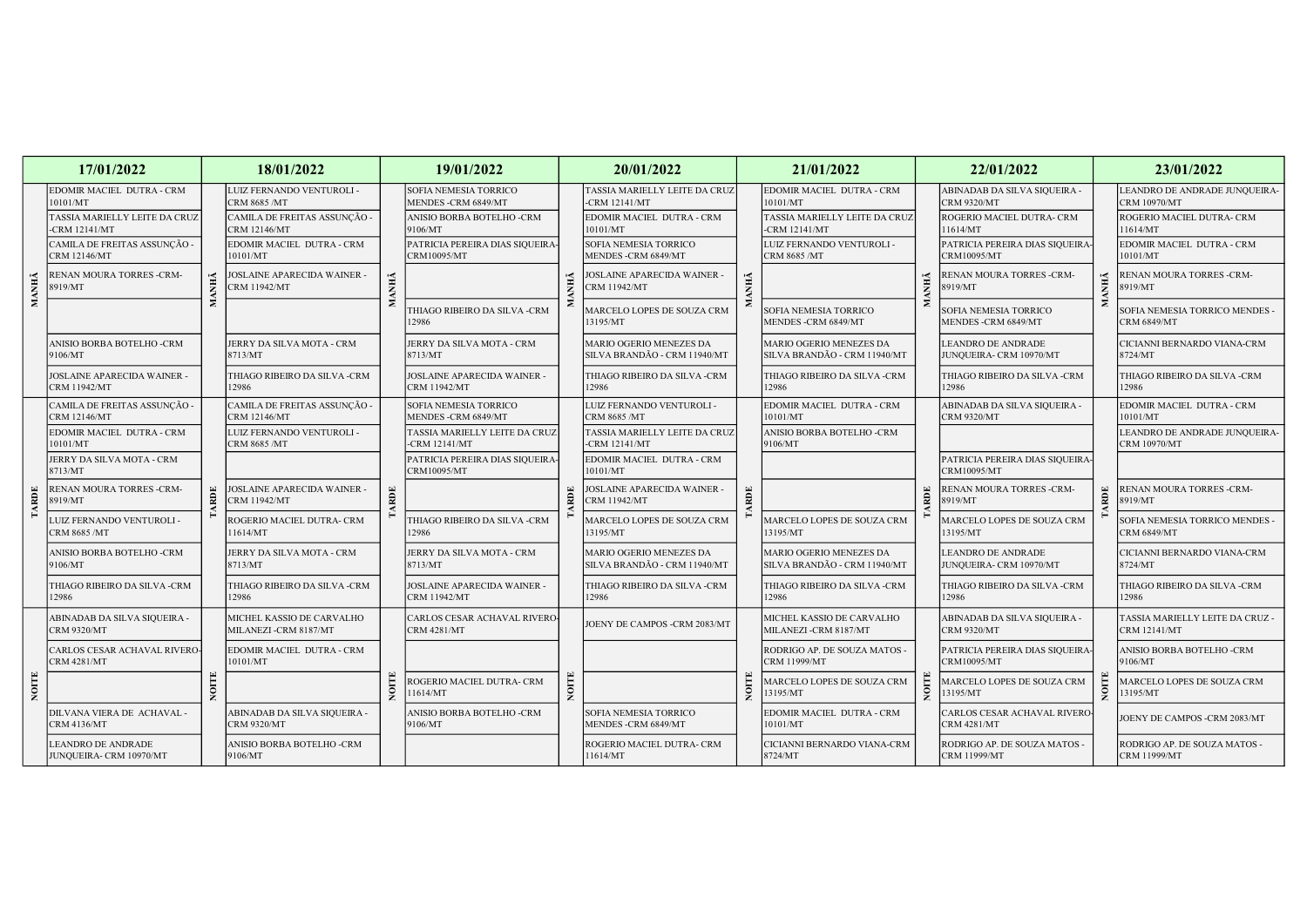|       | 17/01/2022                                              |                                           | 18/01/2022                                               |                                                      | 19/01/2022                                          |                                                | 20/01/2022                                              |                                       | 21/01/2022                                              |                                            | 22/01/2022                                           |                                                      | 23/01/2022                                             |  |
|-------|---------------------------------------------------------|-------------------------------------------|----------------------------------------------------------|------------------------------------------------------|-----------------------------------------------------|------------------------------------------------|---------------------------------------------------------|---------------------------------------|---------------------------------------------------------|--------------------------------------------|------------------------------------------------------|------------------------------------------------------|--------------------------------------------------------|--|
|       | EDOMIR MACIEL DUTRA - CRM<br>10101/MT                   |                                           | LUIZ FERNANDO VENTUROLI -<br>CRM 8685 /MT                |                                                      | <b>SOFIA NEMESIA TORRICO</b><br>MENDES -CRM 6849/MT |                                                | TASSIA MARIELLY LEITE DA CRUZ<br>-CRM 12141/MT          |                                       | EDOMIR MACIEL DUTRA - CRM<br>10101/MT                   |                                            | ABINADAB DA SILVA SIQUEIRA -<br><b>CRM 9320/MT</b>   |                                                      | LEANDRO DE ANDRADE JUNQUEIRA-<br>CRM 10970/MT          |  |
|       | TASSIA MARIELLY LEITE DA CRUZ<br><b>CRM 12141/MT</b>    |                                           | CAMILA DE FREITAS ASSUNÇÃO -<br><b>CRM 12146/MT</b>      |                                                      | ANISIO BORBA BOTELHO -CRM<br>9106/MT                |                                                | EDOMIR MACIEL DUTRA - CRM<br>10101/MT                   |                                       | TASSIA MARIELLY LEITE DA CRUZ<br>-CRM 12141/MT          |                                            | ROGERIO MACIEL DUTRA- CRM<br>11614/MT                |                                                      | ROGERIO MACIEL DUTRA- CRM<br>11614/MT                  |  |
|       | CAMILA DE FREITAS ASSUNÇÃO -<br><b>CRM 12146/MT</b>     |                                           | EDOMIR MACIEL DUTRA - CRM<br>10101/MT                    |                                                      | PATRICIA PEREIRA DIAS SIQUEIRA<br>CRM10095/MT       |                                                | SOFIA NEMESIA TORRICO<br>MENDES -CRM 6849/MT            |                                       | LUIZ FERNANDO VENTUROLI -<br>CRM 8685 /MT               | <b>MANHĂ</b>                               | PATRICIA PEREIRA DIAS SIQUEIRA<br>CRM10095/MT        |                                                      | EDOMIR MACIEL DUTRA - CRM<br>10101/MT                  |  |
| MANHÃ | RENAN MOURA TORRES -CRM-<br>8919/MT                     |                                           | OSLAINE APARECIDA WAINER -<br><b>RM 11942/MT</b>         | МАНЫ                                                 |                                                     |                                                | <b>JOSLAINE APARECIDA WAINER -</b><br>CRM 11942/MT      | ANHÃ                                  |                                                         |                                            | RENAN MOURA TORRES -CRM-<br>8919/MT                  | ANHÃ                                                 | <b>ENAN MOURA TORRES -CRM-</b><br>3919/MT              |  |
|       |                                                         |                                           |                                                          |                                                      | <b>THIAGO RIBEIRO DA SILVA -CRM</b><br>12986        |                                                | MARCELO LOPES DE SOUZA CRM<br>13195/MT                  |                                       | SOFIA NEMESIA TORRICO<br>MENDES - CRM 6849/MT           |                                            | SOFIA NEMESIA TORRICO<br>MENDES -CRM 6849/MT         |                                                      | SOFIA NEMESIA TORRICO MENDES -<br><b>CRM 6849/MT</b>   |  |
|       | ANISIO BORBA BOTELHO -CRM<br>9106/MT                    |                                           | JERRY DA SILVA MOTA - CRM<br>8713/MT                     |                                                      | JERRY DA SILVA MOTA - CRM<br>8713/MT                |                                                | MARIO OGERIO MENEZES DA<br>SILVA BRANDÃO - CRM 11940/MT |                                       | MARIO OGERIO MENEZES DA<br>SILVA BRANDÃO - CRM 11940/MT |                                            | <b>LEANDRO DE ANDRADE</b><br>JUNQUEIRA- CRM 10970/MT |                                                      | CICIANNI BERNARDO VIANA-CRM<br>8724/MT                 |  |
|       | <b>JOSLAINE APARECIDA WAINER</b><br><b>CRM 11942/MT</b> |                                           | THIAGO RIBEIRO DA SILVA-CRM<br>12986                     |                                                      | JOSLAINE APARECIDA WAINER<br><b>CRM 11942/MT</b>    |                                                | THIAGO RIBEIRO DA SILVA -CRM<br>12986                   |                                       | THIAGO RIBEIRO DA SILVA -CRM<br>12986                   |                                            | THIAGO RIBEIRO DA SILVA -CRM<br>12986                |                                                      | THIAGO RIBEIRO DA SILVA-CRM<br>12986                   |  |
|       | CAMILA DE FREITAS ASSUNÇÃO -<br>CRM 12146/MT            |                                           | CAMILA DE FREITAS ASSUNÇÃO -<br>CRM 12146/MT             |                                                      | <b>SOFIA NEMESIA TORRICO</b><br>MENDES -CRM 6849/MT |                                                | LUIZ FERNANDO VENTUROLI -<br>CRM 8685 /MT               |                                       | EDOMIR MACIEL DUTRA - CRM<br>10101/MT                   |                                            | ABINADAB DA SILVA SIQUEIRA -<br><b>CRM 9320/MT</b>   |                                                      | EDOMIR MACIEL DUTRA - CRM<br>10101/MT                  |  |
|       | EDOMIR MACIEL DUTRA - CRM<br>10101/MT                   | LUIZ FERNANDO VENTUROLI -<br>CRM 8685 /MT |                                                          | TASSIA MARIELLY LEITE DA CRUZ<br><b>CRM 12141/MT</b> |                                                     | TASSIA MARIELLY LEITE DA CRUZ<br>-CRM 12141/MT |                                                         | ANISIO BORBA BOTELHO -CRM<br>9106/MT  |                                                         |                                            |                                                      | LEANDRO DE ANDRADE JUNQUEIRA-<br><b>CRM 10970/MT</b> |                                                        |  |
|       | JERRY DA SILVA MOTA - CRM<br>8713/MT                    |                                           |                                                          |                                                      | PATRICIA PEREIRA DIAS SIQUEIRA<br>CRM10095/MT       |                                                | EDOMIR MACIEL DUTRA - CRM<br>10101/MT                   |                                       |                                                         | RDE                                        | PATRICIA PEREIRA DIAS SIQUEIRA<br>CRM10095/MT        |                                                      |                                                        |  |
| RDE   | RENAN MOURA TORRES -CRM-<br>8919/MT                     | RDE                                       | OSLAINE APARECIDA WAINER -<br>RDE<br><b>CRM 11942/MT</b> |                                                      |                                                     | RDE                                            | JOSLAINE APARECIDA WAINER<br><b>CRM 11942/MT</b>        | RDE                                   |                                                         |                                            | RENAN MOURA TORRES -CRM-<br>8919/MT                  | RDE                                                  | RENAN MOURA TORRES -CRM-<br>3919/MT                    |  |
|       | <b>LUIZ FERNANDO VENTUROLI -</b><br><b>CRM 8685 /MT</b> |                                           | ROGERIO MACIEL DUTRA- CRM<br>1614/MT                     |                                                      | THIAGO RIBEIRO DA SILVA -CRM<br>12986               |                                                | MARCELO LOPES DE SOUZA CRM<br>13195/MT                  |                                       | MARCELO LOPES DE SOUZA CRM<br>13195/MT                  |                                            | MARCELO LOPES DE SOUZA CRM<br>13195/MT               | SOFIA NEMESIA TORRICO MENDES -<br><b>CRM 6849/MT</b> |                                                        |  |
|       | ANISIO BORBA BOTELHO -CRM<br>9106/MT                    |                                           | JERRY DA SILVA MOTA - CRM<br>8713/MT                     |                                                      | JERRY DA SILVA MOTA - CRM<br>8713/MT                |                                                | MARIO OGERIO MENEZES DA<br>SILVA BRANDÃO - CRM 11940/MT |                                       | MARIO OGERIO MENEZES DA<br>SILVA BRANDÃO - CRM 11940/MT |                                            | <b>LEANDRO DE ANDRADE</b><br>JUNQUEIRA- CRM 10970/MT |                                                      | CICIANNI BERNARDO VIANA-CRM<br>8724/MT                 |  |
|       | THIAGO RIBEIRO DA SILVA -CRM<br>12986                   |                                           | THIAGO RIBEIRO DA SILVA -CRM<br>12986                    |                                                      | JOSLAINE APARECIDA WAINER<br><b>CRM 11942/MT</b>    |                                                | THIAGO RIBEIRO DA SILVA -CRM<br>12986                   |                                       | THIAGO RIBEIRO DA SILVA-CRM<br>12986                    | THIAGO RIBEIRO DA SILVA -CRM<br>12986      |                                                      | THIAGO RIBEIRO DA SILVA-CRM<br>12986                 |                                                        |  |
|       | ABINADAB DA SILVA SIQUEIRA -<br><b>CRM 9320/MT</b>      |                                           | MICHEL KASSIO DE CARVALHO<br>MILANEZI -CRM 8187/MT       |                                                      | CARLOS CESAR ACHAVAL RIVERO<br>CRM 4281/MT          |                                                | JOENY DE CAMPOS -CRM 2083/MT                            |                                       | MICHEL KASSIO DE CARVALHO<br>MILANEZI -CRM 8187/MT      |                                            | ABINADAB DA SILVA SIQUEIRA -<br><b>CRM 9320/MT</b>   |                                                      | TASSIA MARIELLY LEITE DA CRUZ -<br><b>CRM 12141/MT</b> |  |
|       | CARLOS CESAR ACHAVAL RIVERO<br>CRM 4281/MT              |                                           | EDOMIR MACIEL DUTRA - CRM<br>10101/MT                    |                                                      |                                                     |                                                |                                                         |                                       | RODRIGO AP. DE SOUZA MATOS -<br>CRM 11999/MT            |                                            | PATRICIA PEREIRA DIAS SIQUEIRA<br>CRM10095/MT        |                                                      | ANISIO BORBA BOTELHO -CRM<br>9106/MT                   |  |
|       |                                                         |                                           |                                                          | NOITE                                                | ROGERIO MACIEL DUTRA- CRM<br>11614/MT               | NOITE                                          |                                                         |                                       | MARCELO LOPES DE SOUZA CRM<br>13195/MT                  | ş                                          | MARCELO LOPES DE SOUZA CRM<br>13195/MT               | NOIT                                                 | <b>AARCELO LOPES DE SOUZA CRM</b><br>3195/MT           |  |
|       | DILVANA VIERA DE ACHAVAL<br><b>CRM 4136/MT</b>          |                                           | ABINADAB DA SILVA SIQUEIRA -<br><b>CRM 9320/MT</b>       |                                                      | ANISIO BORBA BOTELHO -CRM<br>9106/MT                |                                                | <b>SOFIA NEMESIA TORRICO</b><br>MENDES -CRM 6849/MT     | EDOMIR MACIEL DUTRA - CRM<br>10101/MT |                                                         | CARLOS CESAR ACHAVAL RIVERO<br>CRM 4281/MT |                                                      | JOENY DE CAMPOS -CRM 2083/MT                         |                                                        |  |
|       | LEANDRO DE ANDRADE<br>JUNQUEIRA- CRM 10970/MT           |                                           | ANISIO BORBA BOTELHO -CRM<br>9106/MT                     |                                                      |                                                     |                                                | ROGERIO MACIEL DUTRA- CRM<br>11614/MT                   |                                       | CICIANNI BERNARDO VIANA-CRM<br>8724/MT                  |                                            | RODRIGO AP. DE SOUZA MATOS -<br><b>CRM 11999/MT</b>  |                                                      | RODRIGO AP. DE SOUZA MATOS -<br><b>CRM 11999/MT</b>    |  |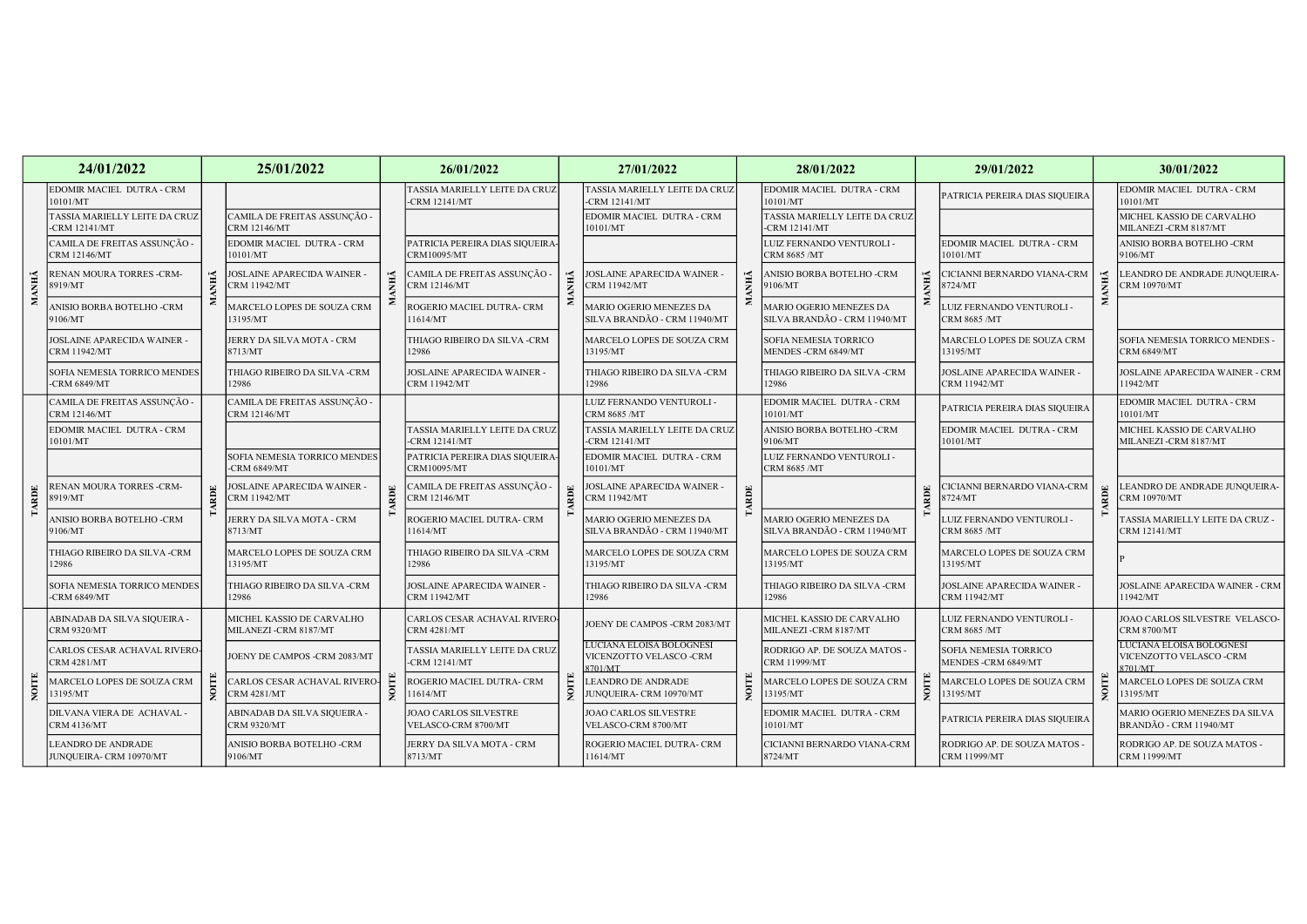|             | 24/01/2022                                         |  | 25/01/2022                                          |             | 26/01/2022                                           |                                                               | 27/01/2022                                                                                                                                                                                                                                                                                                                                                                                                                                                                                                                                                  |                                              | 28/01/2022                                              |                                              | 29/01/2022                                                     | 30/01/2022                                           |  |
|-------------|----------------------------------------------------|--|-----------------------------------------------------|-------------|------------------------------------------------------|---------------------------------------------------------------|-------------------------------------------------------------------------------------------------------------------------------------------------------------------------------------------------------------------------------------------------------------------------------------------------------------------------------------------------------------------------------------------------------------------------------------------------------------------------------------------------------------------------------------------------------------|----------------------------------------------|---------------------------------------------------------|----------------------------------------------|----------------------------------------------------------------|------------------------------------------------------|--|
|             | EDOMIR MACIEL DUTRA - CRM<br>10101/MT              |  |                                                     |             | TASSIA MARIELLY LEITE DA CRUZ<br><b>CRM 12141/MT</b> |                                                               | TASSIA MARIELLY LEITE DA CRUZ<br>-CRM 12141/MT                                                                                                                                                                                                                                                                                                                                                                                                                                                                                                              |                                              | EDOMIR MACIEL DUTRA - CRM<br>10101/MT                   |                                              | PATRICIA PEREIRA DIAS SIQUEIRA                                 | EDOMIR MACIEL DUTRA - CRM<br>10101/MT                |  |
|             | TASSIA MARIELLY LEITE DA CRUZ<br>-CRM 12141/MT     |  | CAMILA DE FREITAS ASSUNÇÃO -<br><b>CRM 12146/MT</b> |             |                                                      |                                                               | EDOMIR MACIEL DUTRA - CRM<br>10101/MT                                                                                                                                                                                                                                                                                                                                                                                                                                                                                                                       |                                              | TASSIA MARIELLY LEITE DA CRUZ<br><b>CRM 12141/MT</b>    |                                              |                                                                | MICHEL KASSIO DE CARVALHO<br>MILANEZI-CRM 8187/MT    |  |
|             | CAMILA DE FREITAS ASSUNÇÃO -<br>CRM 12146/MT       |  | EDOMIR MACIEL DUTRA - CRM<br>10101/MT               |             | PATRICIA PEREIRA DIAS SIQUEIRA-<br>CRM10095/MT       |                                                               |                                                                                                                                                                                                                                                                                                                                                                                                                                                                                                                                                             |                                              | LUIZ FERNANDO VENTUROLI -<br>CRM 8685 /MT               |                                              | EDOMIR MACIEL DUTRA - CRM<br>10101/MT                          | ANISIO BORBA BOTELHO -CRM<br>9106/MT                 |  |
|             | RENAN MOURA TORRES -CRM-<br>8919/MT                |  | OSLAINE APARECIDA WAINER -<br>RM 11942/MT           | ANHÁ        | CAMILA DE FREITAS ASSUNÇÃO -<br>CRM 12146/MT         |                                                               | $\begin{tabular}{l} {\bf \color{red}{\check{F}}} \\ {\bf \color{red}{\check{F}}} \\ {\bf \color{red}{\check{F}}} \\ {\bf \color{red}{\check{F}}} \\ {\bf \color{red}{\check{F}}} \\ {\bf \color{red}{\check{F}}} \\ {\bf \color{red}{\check{F}}} \\ {\bf \color{red}{\check{F}}} \\ {\bf \color{red}{\check{F}}} \\ {\bf \color{red}{\check{F}}} \\ {\bf \color{red}{\check{F}}} \\ {\bf \color{red}{\check{F}}} \\ {\bf \color{red}{\check{F}}} \\ {\bf \color{red}{\check{F}}} \\ {\bf \color{red}{\check{F}}} \\ {\bf \color{red}{\check{F}}} \\ {\bf \$ |                                              | ANISIO BORBA BOTELHO -CRM<br>9106/MT                    | <b>ANHÃ</b>                                  | CICIANNI BERNARDO VIANA-CRM<br>8724/MT                         | EANDRO DE ANDRADE JUNQUEIRA-<br>CRM 10970/MT         |  |
|             | ANISIO BORBA BOTELHO -CRM<br>9106/MT               |  | MARCELO LOPES DE SOUZA CRM<br>13195/MT              |             | ROGERIO MACIEL DUTRA- CRM<br>11614/MT                |                                                               | MARIO OGERIO MENEZES DA<br>SILVA BRANDÃO - CRM 11940/MT                                                                                                                                                                                                                                                                                                                                                                                                                                                                                                     |                                              | MARIO OGERIO MENEZES DA<br>SILVA BRANDÃO - CRM 11940/MT |                                              | LUIZ FERNANDO VENTUROLI -<br>CRM 8685 /MT                      |                                                      |  |
|             | JOSLAINE APARECIDA WAINER -<br>CRM 11942/MT        |  | ERRY DA SILVA MOTA - CRM<br>8713/MT                 |             | THIAGO RIBEIRO DA SILVA -CRM<br>12986                |                                                               | MARCELO LOPES DE SOUZA CRM<br>13195/MT                                                                                                                                                                                                                                                                                                                                                                                                                                                                                                                      |                                              | SOFIA NEMESIA TORRICO<br>MENDES -CRM 6849/MT            |                                              | MARCELO LOPES DE SOUZA CRM<br>13195/MT                         | SOFIA NEMESIA TORRICO MENDES -<br><b>CRM 6849/MT</b> |  |
|             | SOFIA NEMESIA TORRICO MENDES<br>-CRM 6849/MT       |  | THIAGO RIBEIRO DA SILVA -CRM<br>12986               |             | JOSLAINE APARECIDA WAINER<br><b>CRM 11942/MT</b>     |                                                               | THIAGO RIBEIRO DA SILVA -CRM<br>12986                                                                                                                                                                                                                                                                                                                                                                                                                                                                                                                       |                                              | THIAGO RIBEIRO DA SILVA -CRM<br>12986                   |                                              | <b>JOSLAINE APARECIDA WAINER</b><br><b>CRM 11942/MT</b>        | JOSLAINE APARECIDA WAINER - CRM<br>1942/MT           |  |
|             | CAMILA DE FREITAS ASSUNÇÃO -<br>CRM 12146/MT       |  | CAMILA DE FREITAS ASSUNÇÃO -<br><b>CRM 12146/MT</b> |             |                                                      | RDE                                                           | LUIZ FERNANDO VENTUROLI -<br>CRM 8685 /MT                                                                                                                                                                                                                                                                                                                                                                                                                                                                                                                   |                                              | EDOMIR MACIEL DUTRA - CRM<br>10101/MT                   | <b>ARDE</b>                                  | PATRICIA PEREIRA DIAS SIQUEIRA                                 | EDOMIR MACIEL DUTRA - CRM<br>10101/MT                |  |
|             | EDOMIR MACIEL DUTRA - CRM<br>10101/MT              |  |                                                     |             | TASSIA MARIELLY LEITE DA CRUZ<br>-CRM 12141/MT       |                                                               | TASSIA MARIELLY LEITE DA CRUZ<br>-CRM 12141/MT                                                                                                                                                                                                                                                                                                                                                                                                                                                                                                              |                                              | ANISIO BORBA BOTELHO -CRM<br>9106/MT                    |                                              | EDOMIR MACIEL DUTRA - CRM<br>10101/MT                          | MICHEL KASSIO DE CARVALHO<br>MILANEZI -CRM 8187/MT   |  |
|             |                                                    |  | SOFIA NEMESIA TORRICO MENDES<br><b>CRM 6849/MT</b>  |             | PATRICIA PEREIRA DIAS SIQUEIRA<br>CRM10095/MT        |                                                               | EDOMIR MACIEL DUTRA - CRM<br>10101/MT                                                                                                                                                                                                                                                                                                                                                                                                                                                                                                                       |                                              | LUIZ FERNANDO VENTUROLI -<br><b>CRM 8685 /MT</b>        |                                              |                                                                |                                                      |  |
| <b>ARDE</b> | RENAN MOURA TORRES -CRM-<br>8919/MT                |  | OSLAINE APARECIDA WAINER -<br><b>RM 11942/MT</b>    | <b>ARDE</b> | CAMILA DE FREITAS ASSUNÇÃO -<br>CRM 12146/MT         |                                                               | JOSLAINE APARECIDA WAINER -<br>CRM 11942/MT                                                                                                                                                                                                                                                                                                                                                                                                                                                                                                                 |                                              |                                                         |                                              | CICIANNI BERNARDO VIANA-CRM<br>8724/MT                         | EANDRO DE ANDRADE JUNQUEIRA-<br>CRM 10970/MT         |  |
|             | ANISIO BORBA BOTELHO -CRM<br>9106/MT               |  | ERRY DA SILVA MOTA - CRM<br>8713/MT                 |             | ROGERIO MACIEL DUTRA- CRM<br>11614/MT                |                                                               | MARIO OGERIO MENEZES DA<br>SILVA BRANDÃO - CRM 11940/MT                                                                                                                                                                                                                                                                                                                                                                                                                                                                                                     |                                              | MARIO OGERIO MENEZES DA<br>SILVA BRANDÃO - CRM 11940/MT |                                              | LUIZ FERNANDO VENTUROLI -<br>CRM 8685 /MT                      | TASSIA MARIELLY LEITE DA CRUZ -<br>CRM 12141/MT      |  |
|             | THIAGO RIBEIRO DA SILVA -CRM<br>12986              |  | MARCELO LOPES DE SOUZA CRM<br>13195/MT              |             | THIAGO RIBEIRO DA SILVA -CRM<br>12986                |                                                               | MARCELO LOPES DE SOUZA CRM<br>13195/MT                                                                                                                                                                                                                                                                                                                                                                                                                                                                                                                      |                                              | MARCELO LOPES DE SOUZA CRM<br>13195/MT                  |                                              | MARCELO LOPES DE SOUZA CRM<br>13195/MT                         |                                                      |  |
|             | SOFIA NEMESIA TORRICO MENDES<br>-CRM 6849/MT       |  | THIAGO RIBEIRO DA SILVA -CRM<br>12986               |             | <b>JOSLAINE APARECIDA WAINER</b><br>CRM 11942/MT     |                                                               | THIAGO RIBEIRO DA SILVA -CRM<br>12986                                                                                                                                                                                                                                                                                                                                                                                                                                                                                                                       |                                              | THIAGO RIBEIRO DA SILVA -CRM<br>12986                   |                                              | JOSLAINE APARECIDA WAINER -<br><b>CRM 11942/MT</b>             | JOSLAINE APARECIDA WAINER - CRM<br>11942/MT          |  |
|             | ABINADAB DA SILVA SIQUEIRA -<br><b>CRM 9320/MT</b> |  | MICHEL KASSIO DE CARVALHO<br>MILANEZI -CRM 8187/MT  |             | CARLOS CESAR ACHAVAL RIVERO-<br><b>CRM 4281/MT</b>   |                                                               | JOENY DE CAMPOS -CRM 2083/MT                                                                                                                                                                                                                                                                                                                                                                                                                                                                                                                                |                                              | MICHEL KASSIO DE CARVALHO<br>MILANEZI -CRM 8187/MT      |                                              | LUIZ FERNANDO VENTUROLI -<br><b>CRM 8685 /MT</b>               | JOAO CARLOS SILVESTRE VELASCO-<br><b>CRM 8700/MT</b> |  |
|             | CARLOS CESAR ACHAVAL RIVERO<br>CRM 4281/MT         |  | JOENY DE CAMPOS -CRM 2083/MT                        |             | TASSIA MARIELLY LEITE DA CRUZ<br>-CRM 12141/MT       | LUCIANA ELOISA BOLOGNESI<br>VICENZOTTO VELASCO-CRM<br>8701/MT |                                                                                                                                                                                                                                                                                                                                                                                                                                                                                                                                                             | RODRIGO AP. DE SOUZA MATOS -<br>CRM 11999/MT |                                                         | SOFIA NEMESIA TORRICO<br>MENDES -CRM 6849/MT | LUCIANA ELOISA BOLOGNESI<br>VICENZOTTO VELASCO -CRM<br>8701/MT |                                                      |  |
|             | MARCELO LOPES DE SOUZA CRM<br>13195/MT             |  | ARLOS CESAR ACHAVAL RIVERO<br><b>RM 4281/MT</b>     | NOIT        | ROGERIO MACIEL DUTRA- CRM<br>11614/MT                |                                                               | <b>LEANDRO DE ANDRADE</b><br>JUNQUEIRA- CRM 10970/MT                                                                                                                                                                                                                                                                                                                                                                                                                                                                                                        |                                              | MARCELO LOPES DE SOUZA CRM<br>13195/MT                  | NOITE                                        | MARCELO LOPES DE SOUZA CRM<br>13195/MT                         | MARCELO LOPES DE SOUZA CRM<br>3195/MT                |  |
|             | DILVANA VIERA DE ACHAVAL ·<br><b>CRM 4136/MT</b>   |  | ABINADAB DA SILVA SIQUEIRA -<br>CRM 9320/MT         |             | JOAO CARLOS SILVESTRE<br>VELASCO-CRM 8700/MT         | JOAO CARLOS SILVESTRE<br>VELASCO-CRM 8700/MT                  |                                                                                                                                                                                                                                                                                                                                                                                                                                                                                                                                                             | EDOMIR MACIEL DUTRA - CRM<br>10101/MT        |                                                         | PATRICIA PEREIRA DIAS SIQUEIRA               | MARIO OGERIO MENEZES DA SILVA<br>BRANDÃO - CRM 11940/MT        |                                                      |  |
|             | LEANDRO DE ANDRADE<br>JUNQUEIRA- CRM 10970/MT      |  | ANISIO BORBA BOTELHO -CRM<br>9106/MT                |             | JERRY DA SILVA MOTA - CRM<br>8713/MT                 |                                                               | ROGERIO MACIEL DUTRA- CRM<br>11614/MT                                                                                                                                                                                                                                                                                                                                                                                                                                                                                                                       |                                              | CICIANNI BERNARDO VIANA-CRM<br>8724/MT                  |                                              | RODRIGO AP. DE SOUZA MATOS -<br><b>CRM 11999/MT</b>            | RODRIGO AP. DE SOUZA MATOS -<br>CRM 11999/MT         |  |